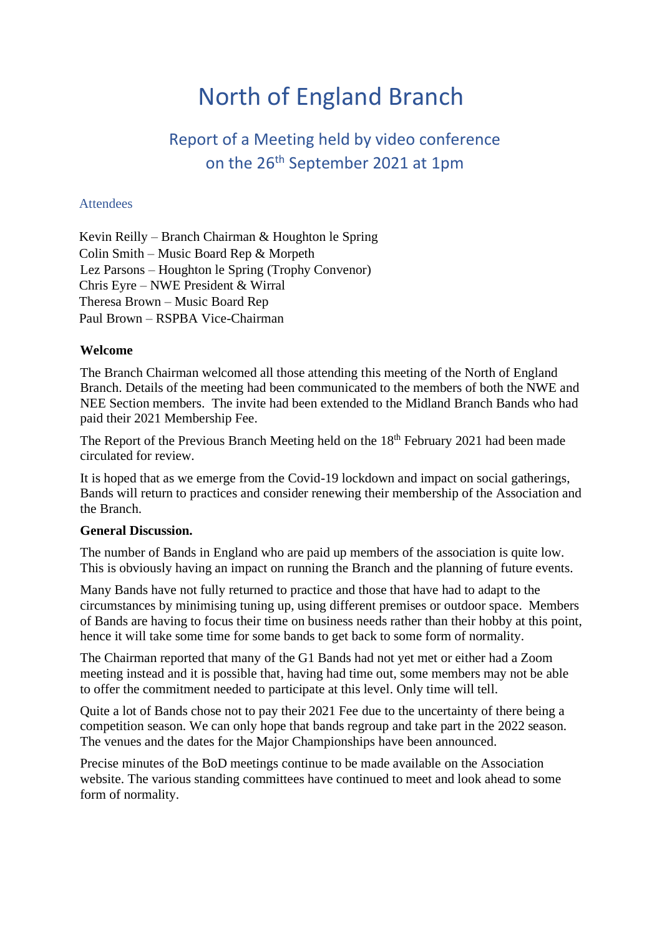# North of England Branch

## Report of a Meeting held by video conference on the 26th September 2021 at 1pm

#### **Attendees**

Kevin Reilly – Branch Chairman & Houghton le Spring Colin Smith – Music Board Rep & Morpeth Lez Parsons – Houghton le Spring (Trophy Convenor) Chris Eyre – NWE President & Wirral Theresa Brown – Music Board Rep Paul Brown – RSPBA Vice-Chairman

#### **Welcome**

The Branch Chairman welcomed all those attending this meeting of the North of England Branch. Details of the meeting had been communicated to the members of both the NWE and NEE Section members. The invite had been extended to the Midland Branch Bands who had paid their 2021 Membership Fee.

The Report of the Previous Branch Meeting held on the  $18<sup>th</sup>$  February 2021 had been made circulated for review.

It is hoped that as we emerge from the Covid-19 lockdown and impact on social gatherings, Bands will return to practices and consider renewing their membership of the Association and the Branch.

#### **General Discussion.**

The number of Bands in England who are paid up members of the association is quite low. This is obviously having an impact on running the Branch and the planning of future events.

Many Bands have not fully returned to practice and those that have had to adapt to the circumstances by minimising tuning up, using different premises or outdoor space. Members of Bands are having to focus their time on business needs rather than their hobby at this point, hence it will take some time for some bands to get back to some form of normality.

The Chairman reported that many of the G1 Bands had not yet met or either had a Zoom meeting instead and it is possible that, having had time out, some members may not be able to offer the commitment needed to participate at this level. Only time will tell.

Quite a lot of Bands chose not to pay their 2021 Fee due to the uncertainty of there being a competition season. We can only hope that bands regroup and take part in the 2022 season. The venues and the dates for the Major Championships have been announced.

Precise minutes of the BoD meetings continue to be made available on the Association website. The various standing committees have continued to meet and look ahead to some form of normality.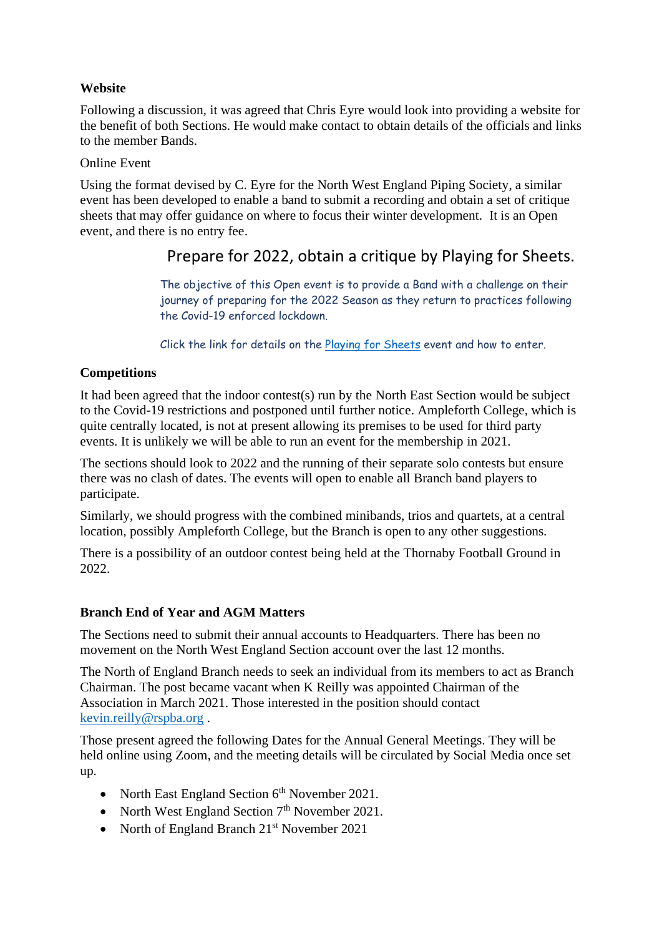#### **Website**

Following a discussion, it was agreed that Chris Eyre would look into providing a website for the benefit of both Sections. He would make contact to obtain details of the officials and links to the member Bands.

#### Online Event

Using the format devised by C. Eyre for the North West England Piping Society, a similar event has been developed to enable a band to submit a recording and obtain a set of critique sheets that may offer guidance on where to focus their winter development. It is an Open event, and there is no entry fee.

### Prepare for 2022, obtain a critique by Playing for Sheets.

The objective of this Open event is to provide a Band with a challenge on their journey of preparing for the 2022 Season as they return to practices following the Covid-19 enforced lockdown.

Click the link for details on the [Playing for Sheets](https://www.dropbox.com/s/da470pgp4jzu7nh/NWE%20Play%20for%20Sheets%20v0.3.doc?dl=0) event and how to enter.

#### **Competitions**

It had been agreed that the indoor contest(s) run by the North East Section would be subject to the Covid-19 restrictions and postponed until further notice. Ampleforth College, which is quite centrally located, is not at present allowing its premises to be used for third party events. It is unlikely we will be able to run an event for the membership in 2021.

The sections should look to 2022 and the running of their separate solo contests but ensure there was no clash of dates. The events will open to enable all Branch band players to participate.

Similarly, we should progress with the combined minibands, trios and quartets, at a central location, possibly Ampleforth College, but the Branch is open to any other suggestions.

There is a possibility of an outdoor contest being held at the Thornaby Football Ground in 2022.

#### **Branch End of Year and AGM Matters**

The Sections need to submit their annual accounts to Headquarters. There has been no movement on the North West England Section account over the last 12 months.

The North of England Branch needs to seek an individual from its members to act as Branch Chairman. The post became vacant when K Reilly was appointed Chairman of the Association in March 2021. Those interested in the position should contact [kevin.reilly@rspba.org](mailto:kevin.reilly@rspba.org) .

Those present agreed the following Dates for the Annual General Meetings. They will be held online using Zoom, and the meeting details will be circulated by Social Media once set up.

- North East England Section  $6<sup>th</sup>$  November 2021.
- North West England Section  $7<sup>th</sup>$  November 2021.
- North of England Branch 21<sup>st</sup> November 2021